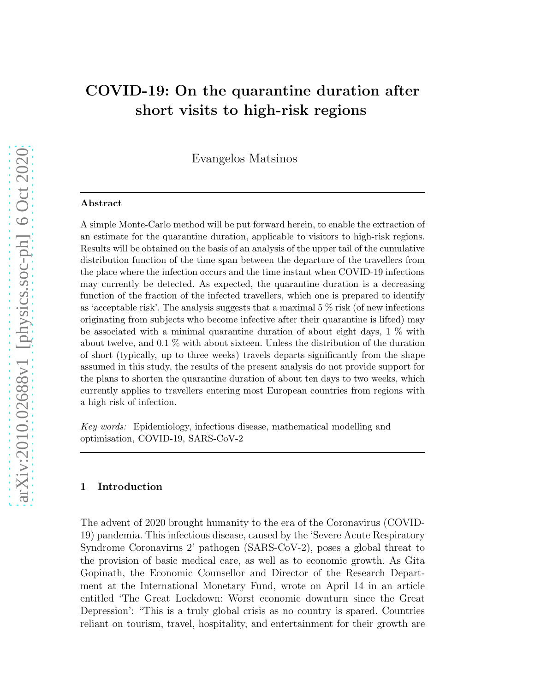# COVID-19: On the quarantine duration after short visits to high-risk regions

Evangelos Matsinos

#### Abstract

A simple Monte-Carlo method will be put forward herein, to enable the extraction of an estimate for the quarantine duration, applicable to visitors to high-risk regions. Results will be obtained on the basis of an analysis of the upper tail of the cumulative distribution function of the time span between the departure of the travellers from the place where the infection occurs and the time instant when COVID-19 infections may currently be detected. As expected, the quarantine duration is a decreasing function of the fraction of the infected travellers, which one is prepared to identify as 'acceptable risk'. The analysis suggests that a maximal  $5\%$  risk (of new infections originating from subjects who become infective after their quarantine is lifted) may be associated with a minimal quarantine duration of about eight days, 1 % with about twelve, and 0.1 % with about sixteen. Unless the distribution of the duration of short (typically, up to three weeks) travels departs significantly from the shape assumed in this study, the results of the present analysis do not provide support for the plans to shorten the quarantine duration of about ten days to two weeks, which currently applies to travellers entering most European countries from regions with a high risk of infection.

Key words: Epidemiology, infectious disease, mathematical modelling and optimisation, COVID-19, SARS-CoV-2

#### 1 Introduction

The advent of 2020 brought humanity to the era of the Coronavirus (COVID-19) pandemia. This infectious disease, caused by the 'Severe Acute Respiratory Syndrome Coronavirus 2' pathogen (SARS-CoV-2), poses a global threat to the provision of basic medical care, as well as to economic growth. As Gita Gopinath, the Economic Counsellor and Director of the Research Department at the International Monetary Fund, wrote on April 14 in an article entitled 'The Great Lockdown: Worst economic downturn since the Great Depression': "This is a truly global crisis as no country is spared. Countries reliant on tourism, travel, hospitality, and entertainment for their growth are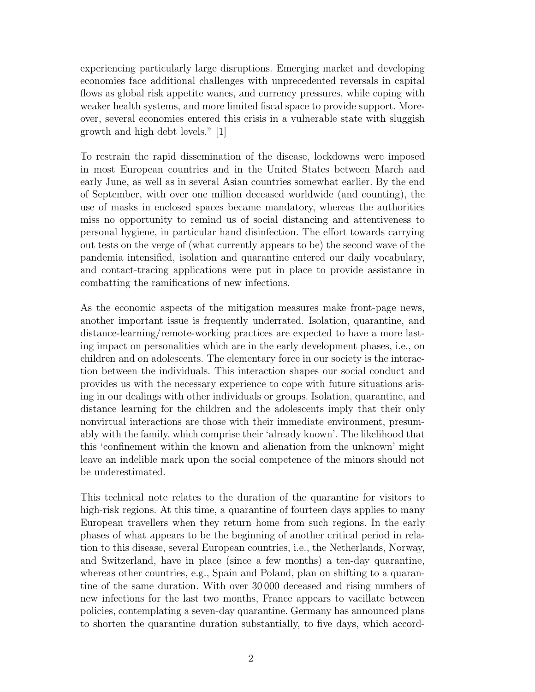experiencing particularly large disruptions. Emerging market and developing economies face additional challenges with unprecedented reversals in capital flows as global risk appetite wanes, and currency pressures, while coping with weaker health systems, and more limited fiscal space to provide support. Moreover, several economies entered this crisis in a vulnerable state with sluggish growth and high debt levels." [1]

To restrain the rapid dissemination of the disease, lockdowns were imposed in most European countries and in the United States between March and early June, as well as in several Asian countries somewhat earlier. By the end of September, with over one million deceased worldwide (and counting), the use of masks in enclosed spaces became mandatory, whereas the authorities miss no opportunity to remind us of social distancing and attentiveness to personal hygiene, in particular hand disinfection. The effort towards carrying out tests on the verge of (what currently appears to be) the second wave of the pandemia intensified, isolation and quarantine entered our daily vocabulary, and contact-tracing applications were put in place to provide assistance in combatting the ramifications of new infections.

As the economic aspects of the mitigation measures make front-page news, another important issue is frequently underrated. Isolation, quarantine, and distance-learning/remote-working practices are expected to have a more lasting impact on personalities which are in the early development phases, i.e., on children and on adolescents. The elementary force in our society is the interaction between the individuals. This interaction shapes our social conduct and provides us with the necessary experience to cope with future situations arising in our dealings with other individuals or groups. Isolation, quarantine, and distance learning for the children and the adolescents imply that their only nonvirtual interactions are those with their immediate environment, presumably with the family, which comprise their 'already known'. The likelihood that this 'confinement within the known and alienation from the unknown' might leave an indelible mark upon the social competence of the minors should not be underestimated.

This technical note relates to the duration of the quarantine for visitors to high-risk regions. At this time, a quarantine of fourteen days applies to many European travellers when they return home from such regions. In the early phases of what appears to be the beginning of another critical period in relation to this disease, several European countries, i.e., the Netherlands, Norway, and Switzerland, have in place (since a few months) a ten-day quarantine, whereas other countries, e.g., Spain and Poland, plan on shifting to a quarantine of the same duration. With over 30 000 deceased and rising numbers of new infections for the last two months, France appears to vacillate between policies, contemplating a seven-day quarantine. Germany has announced plans to shorten the quarantine duration substantially, to five days, which accord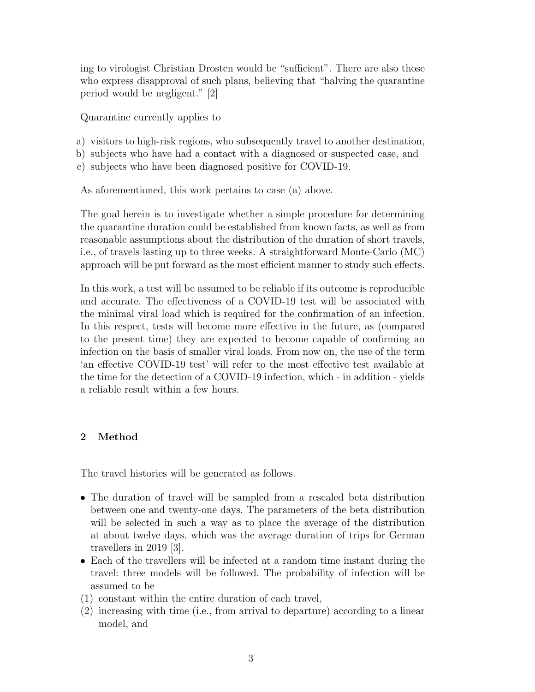ing to virologist Christian Drosten would be "sufficient". There are also those who express disapproval of such plans, believing that "halving the quarantine period would be negligent." [2]

Quarantine currently applies to

- a) visitors to high-risk regions, who subsequently travel to another destination,
- b) subjects who have had a contact with a diagnosed or suspected case, and
- c) subjects who have been diagnosed positive for COVID-19.

As aforementioned, this work pertains to case (a) above.

The goal herein is to investigate whether a simple procedure for determining the quarantine duration could be established from known facts, as well as from reasonable assumptions about the distribution of the duration of short travels, i.e., of travels lasting up to three weeks. A straightforward Monte-Carlo (MC) approach will be put forward as the most efficient manner to study such effects.

In this work, a test will be assumed to be reliable if its outcome is reproducible and accurate. The effectiveness of a COVID-19 test will be associated with the minimal viral load which is required for the confirmation of an infection. In this respect, tests will become more effective in the future, as (compared to the present time) they are expected to become capable of confirming an infection on the basis of smaller viral loads. From now on, the use of the term 'an effective COVID-19 test' will refer to the most effective test available at the time for the detection of a COVID-19 infection, which - in addition - yields a reliable result within a few hours.

## 2 Method

The travel histories will be generated as follows.

- The duration of travel will be sampled from a rescaled beta distribution between one and twenty-one days. The parameters of the beta distribution will be selected in such a way as to place the average of the distribution at about twelve days, which was the average duration of trips for German travellers in 2019 [3].
- Each of the travellers will be infected at a random time instant during the travel: three models will be followed. The probability of infection will be assumed to be
- (1) constant within the entire duration of each travel,
- (2) increasing with time (i.e., from arrival to departure) according to a linear model, and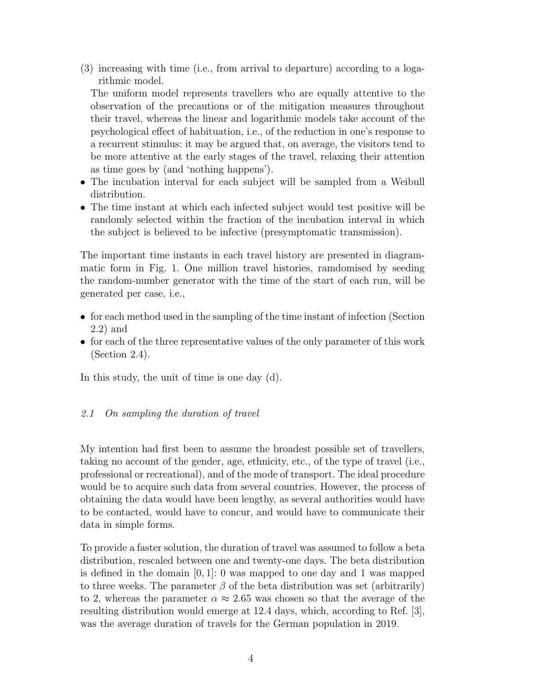(3) increasing with time (i.e., from arrival to departure) according to a logarithmic model.

The uniform model represents travellers who are equally attentive to the observation of the precautions or of the mitigation measures throughout their travel, whereas the linear and logarithmic models take account of the psychological effect of habituation, i.e., of the reduction in one's response to a recurrent stimulus: it may be argued that, on average, the visitors tend to be more attentive at the early stages of the travel, relaxing their attention as time goes by (and 'nothing happens').

- The incubation interval for each subject will be sampled from a Weibull distribution.
- The time instant at which each infected subject would test positive will be randomly selected within the fraction of the incubation interval in which the subject is believed to be infective (presymptomatic transmission).

The important time instants in each travel history are presented in diagrammatic form in Fig. 1. One million travel histories, ramdomised by seeding the random-number generator with the time of the start of each run, will be generated per case, i.e.,

- for each method used in the sampling of the time instant of infection (Section 2.2) and
- for each of the three representative values of the only parameter of this work (Section 2.4).

In this study, the unit of time is one day (d).

## 2.1 On sampling the duration of travel

My intention had first been to assume the broadest possible set of travellers, taking no account of the gender, age, ethnicity, etc., of the type of travel (i.e., professional or recreational), and of the mode of transport. The ideal procedure would be to acquire such data from several countries. However, the process of obtaining the data would have been lengthy, as several authorities would have to be contacted, would have to concur, and would have to communicate their data in simple forms.

To provide a faster solution, the duration of travel was assumed to follow a beta distribution, rescaled between one and twenty-one days. The beta distribution is defined in the domain  $[0, 1]$ : 0 was mapped to one day and 1 was mapped to three weeks. The parameter  $\beta$  of the beta distribution was set (arbitrarily) to 2, whereas the parameter  $\alpha \approx 2.65$  was chosen so that the average of the resulting distribution would emerge at 12.4 days, which, according to Ref. [3], was the average duration of travels for the German population in 2019.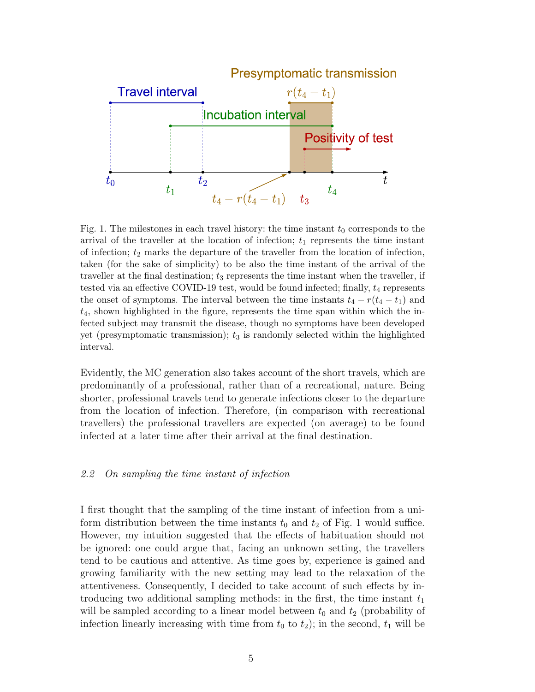

Fig. 1. The milestones in each travel history: the time instant  $t_0$  corresponds to the arrival of the traveller at the location of infection;  $t_1$  represents the time instant of infection;  $t_2$  marks the departure of the traveller from the location of infection, taken (for the sake of simplicity) to be also the time instant of the arrival of the traveller at the final destination;  $t_3$  represents the time instant when the traveller, if tested via an effective COVID-19 test, would be found infected; finally,  $t_4$  represents the onset of symptoms. The interval between the time instants  $t_4 - r(t_4 - t_1)$  and  $t_4$ , shown highlighted in the figure, represents the time span within which the infected subject may transmit the disease, though no symptoms have been developed yet (presymptomatic transmission);  $t_3$  is randomly selected within the highlighted interval.

Evidently, the MC generation also takes account of the short travels, which are predominantly of a professional, rather than of a recreational, nature. Being shorter, professional travels tend to generate infections closer to the departure from the location of infection. Therefore, (in comparison with recreational travellers) the professional travellers are expected (on average) to be found infected at a later time after their arrival at the final destination.

#### 2.2 On sampling the time instant of infection

I first thought that the sampling of the time instant of infection from a uniform distribution between the time instants  $t_0$  and  $t_2$  of Fig. 1 would suffice. However, my intuition suggested that the effects of habituation should not be ignored: one could argue that, facing an unknown setting, the travellers tend to be cautious and attentive. As time goes by, experience is gained and growing familiarity with the new setting may lead to the relaxation of the attentiveness. Consequently, I decided to take account of such effects by introducing two additional sampling methods: in the first, the time instant  $t_1$ will be sampled according to a linear model between  $t_0$  and  $t_2$  (probability of infection linearly increasing with time from  $t_0$  to  $t_2$ ); in the second,  $t_1$  will be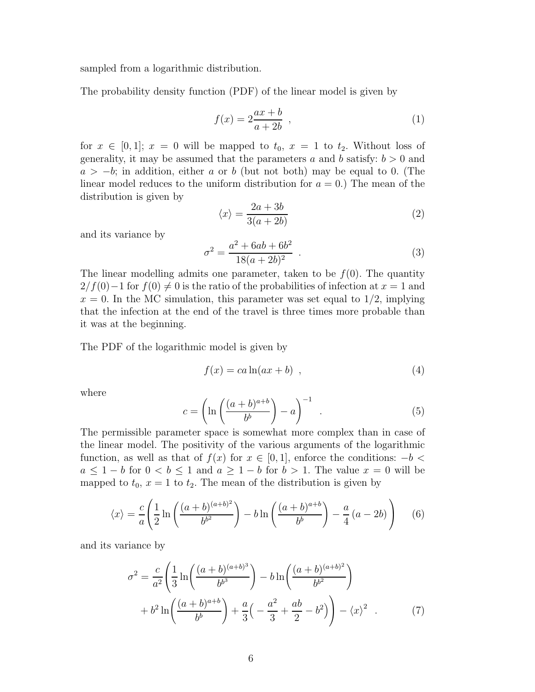sampled from a logarithmic distribution.

The probability density function (PDF) of the linear model is given by

$$
f(x) = 2\frac{ax+b}{a+2b} \tag{1}
$$

for  $x \in [0,1]$ ;  $x = 0$  will be mapped to  $t_0$ ,  $x = 1$  to  $t_2$ . Without loss of generality, it may be assumed that the parameters a and b satisfy:  $b > 0$  and  $a > -b$ ; in addition, either a or b (but not both) may be equal to 0. (The linear model reduces to the uniform distribution for  $a = 0$ .) The mean of the distribution is given by

$$
\langle x \rangle = \frac{2a + 3b}{3(a + 2b)}\tag{2}
$$

and its variance by

$$
\sigma^2 = \frac{a^2 + 6ab + 6b^2}{18(a+2b)^2} \tag{3}
$$

The linear modelling admits one parameter, taken to be  $f(0)$ . The quantity  $2/f(0)-1$  for  $f(0) \neq 0$  is the ratio of the probabilities of infection at  $x = 1$  and  $x = 0$ . In the MC simulation, this parameter was set equal to  $1/2$ , implying that the infection at the end of the travel is three times more probable than it was at the beginning.

The PDF of the logarithmic model is given by

$$
f(x) = ca \ln(ax + b) \tag{4}
$$

where

$$
c = \left(\ln\left(\frac{(a+b)^{a+b}}{b^b}\right) - a\right)^{-1} \tag{5}
$$

The permissible parameter space is somewhat more complex than in case of the linear model. The positivity of the various arguments of the logarithmic function, as well as that of  $f(x)$  for  $x \in [0,1]$ , enforce the conditions:  $-b <$  $a \leq 1 - b$  for  $0 < b \leq 1$  and  $a \geq 1 - b$  for  $b > 1$ . The value  $x = 0$  will be mapped to  $t_0$ ,  $x = 1$  to  $t_2$ . The mean of the distribution is given by

$$
\langle x \rangle = \frac{c}{a} \left( \frac{1}{2} \ln \left( \frac{(a+b)^{(a+b)^2}}{b^{b^2}} \right) - b \ln \left( \frac{(a+b)^{a+b}}{b^b} \right) - \frac{a}{4} (a-2b) \right) \tag{6}
$$

and its variance by

$$
\sigma^2 = \frac{c}{a^2} \left( \frac{1}{3} \ln \left( \frac{(a+b)^{(a+b)^3}}{b^{b^3}} \right) - b \ln \left( \frac{(a+b)^{(a+b)^2}}{b^{b^2}} \right) + b^2 \ln \left( \frac{(a+b)^{a+b}}{b^b} \right) + \frac{a}{3} \left( -\frac{a^2}{3} + \frac{ab}{2} - b^2 \right) - \langle x \rangle^2 \quad . \tag{7}
$$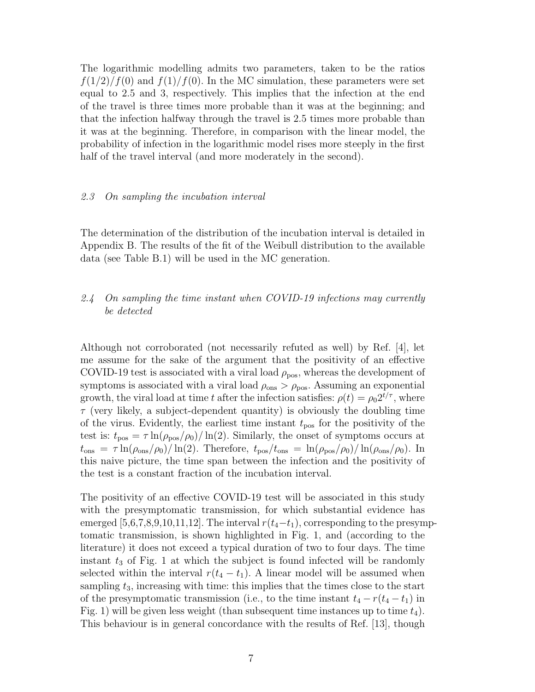The logarithmic modelling admits two parameters, taken to be the ratios  $f(1/2)/f(0)$  and  $f(1)/f(0)$ . In the MC simulation, these parameters were set equal to 2.5 and 3, respectively. This implies that the infection at the end of the travel is three times more probable than it was at the beginning; and that the infection halfway through the travel is 2.5 times more probable than it was at the beginning. Therefore, in comparison with the linear model, the probability of infection in the logarithmic model rises more steeply in the first half of the travel interval (and more moderately in the second).

#### 2.3 On sampling the incubation interval

The determination of the distribution of the incubation interval is detailed in Appendix B. The results of the fit of the Weibull distribution to the available data (see Table B.1) will be used in the MC generation.

# 2.4 On sampling the time instant when COVID-19 infections may currently be detected

Although not corroborated (not necessarily refuted as well) by Ref. [4], let me assume for the sake of the argument that the positivity of an effective COVID-19 test is associated with a viral load  $\rho_{\text{pos}}$ , whereas the development of symptoms is associated with a viral load  $\rho_{\text{ons}} > \rho_{\text{pos}}$ . Assuming an exponential growth, the viral load at time t after the infection satisfies:  $\rho(t) = \rho_0 2^{t/\tau}$ , where  $\tau$  (very likely, a subject-dependent quantity) is obviously the doubling time of the virus. Evidently, the earliest time instant  $t_{\text{pos}}$  for the positivity of the test is:  $t_{\text{pos}} = \tau \ln(\rho_{\text{pos}}/\rho_0)/\ln(2)$ . Similarly, the onset of symptoms occurs at  $t_{\rm obs} = \tau \ln(\rho_{\rm obs}/\rho_0)/\ln(2)$ . Therefore,  $t_{\rm pos}/t_{\rm obs} = \ln(\rho_{\rm pos}/\rho_0)/\ln(\rho_{\rm obs}/\rho_0)$ . In this naive picture, the time span between the infection and the positivity of the test is a constant fraction of the incubation interval.

The positivity of an effective COVID-19 test will be associated in this study with the presymptomatic transmission, for which substantial evidence has emerged [5,6,7,8,9,10,11,12]. The interval  $r(t_4-t_1)$ , corresponding to the presymptomatic transmission, is shown highlighted in Fig. 1, and (according to the literature) it does not exceed a typical duration of two to four days. The time instant  $t_3$  of Fig. 1 at which the subject is found infected will be randomly selected within the interval  $r(t_4 - t_1)$ . A linear model will be assumed when sampling  $t_3$ , increasing with time: this implies that the times close to the start of the presymptomatic transmission (i.e., to the time instant  $t_4 - r(t_4 - t_1)$  in Fig. 1) will be given less weight (than subsequent time instances up to time  $t_4$ ). This behaviour is in general concordance with the results of Ref. [13], though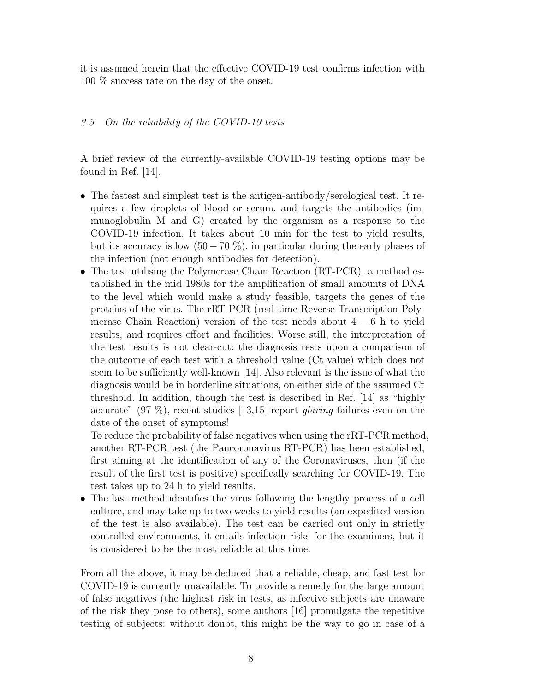it is assumed herein that the effective COVID-19 test confirms infection with 100 % success rate on the day of the onset.

## 2.5 On the reliability of the COVID-19 tests

A brief review of the currently-available COVID-19 testing options may be found in Ref. [14].

- The fastest and simplest test is the antigen-antibody/serological test. It requires a few droplets of blood or serum, and targets the antibodies (immunoglobulin M and G) created by the organism as a response to the COVID-19 infection. It takes about 10 min for the test to yield results, but its accuracy is low  $(50 - 70\%)$ , in particular during the early phases of the infection (not enough antibodies for detection).
- The test utilising the Polymerase Chain Reaction (RT-PCR), a method established in the mid 1980s for the amplification of small amounts of DNA to the level which would make a study feasible, targets the genes of the proteins of the virus. The rRT-PCR (real-time Reverse Transcription Polymerase Chain Reaction) version of the test needs about  $4 - 6$  h to yield results, and requires effort and facilities. Worse still, the interpretation of the test results is not clear-cut: the diagnosis rests upon a comparison of the outcome of each test with a threshold value (Ct value) which does not seem to be sufficiently well-known [14]. Also relevant is the issue of what the diagnosis would be in borderline situations, on either side of the assumed Ct threshold. In addition, though the test is described in Ref. [14] as "highly accurate"  $(97\%)$ , recent studies [13,15] report *glaring* failures even on the date of the onset of symptoms!

To reduce the probability of false negatives when using the rRT-PCR method, another RT-PCR test (the Pancoronavirus RT-PCR) has been established, first aiming at the identification of any of the Coronaviruses, then (if the result of the first test is positive) specifically searching for COVID-19. The test takes up to 24 h to yield results.

• The last method identifies the virus following the lengthy process of a cell culture, and may take up to two weeks to yield results (an expedited version of the test is also available). The test can be carried out only in strictly controlled environments, it entails infection risks for the examiners, but it is considered to be the most reliable at this time.

From all the above, it may be deduced that a reliable, cheap, and fast test for COVID-19 is currently unavailable. To provide a remedy for the large amount of false negatives (the highest risk in tests, as infective subjects are unaware of the risk they pose to others), some authors [16] promulgate the repetitive testing of subjects: without doubt, this might be the way to go in case of a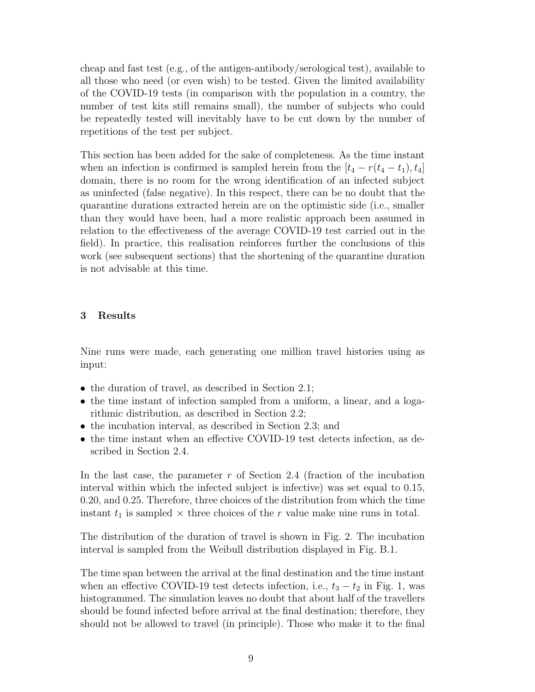cheap and fast test (e.g., of the antigen-antibody/serological test), available to all those who need (or even wish) to be tested. Given the limited availability of the COVID-19 tests (in comparison with the population in a country, the number of test kits still remains small), the number of subjects who could be repeatedly tested will inevitably have to be cut down by the number of repetitions of the test per subject.

This section has been added for the sake of completeness. As the time instant when an infection is confirmed is sampled herein from the  $[t_4 - r(t_4 - t_1), t_4]$ domain, there is no room for the wrong identification of an infected subject as uninfected (false negative). In this respect, there can be no doubt that the quarantine durations extracted herein are on the optimistic side (i.e., smaller than they would have been, had a more realistic approach been assumed in relation to the effectiveness of the average COVID-19 test carried out in the field). In practice, this realisation reinforces further the conclusions of this work (see subsequent sections) that the shortening of the quarantine duration is not advisable at this time.

#### 3 Results

Nine runs were made, each generating one million travel histories using as input:

- the duration of travel, as described in Section 2.1;
- the time instant of infection sampled from a uniform, a linear, and a logarithmic distribution, as described in Section 2.2;
- the incubation interval, as described in Section 2.3; and
- the time instant when an effective COVID-19 test detects infection, as described in Section 2.4.

In the last case, the parameter  $r$  of Section 2.4 (fraction of the incubation interval within which the infected subject is infective) was set equal to 0.15, 0.20, and 0.25. Therefore, three choices of the distribution from which the time instant  $t_1$  is sampled  $\times$  three choices of the r value make nine runs in total.

The distribution of the duration of travel is shown in Fig. 2. The incubation interval is sampled from the Weibull distribution displayed in Fig. B.1.

The time span between the arrival at the final destination and the time instant when an effective COVID-19 test detects infection, i.e.,  $t_3 - t_2$  in Fig. 1, was histogrammed. The simulation leaves no doubt that about half of the travellers should be found infected before arrival at the final destination; therefore, they should not be allowed to travel (in principle). Those who make it to the final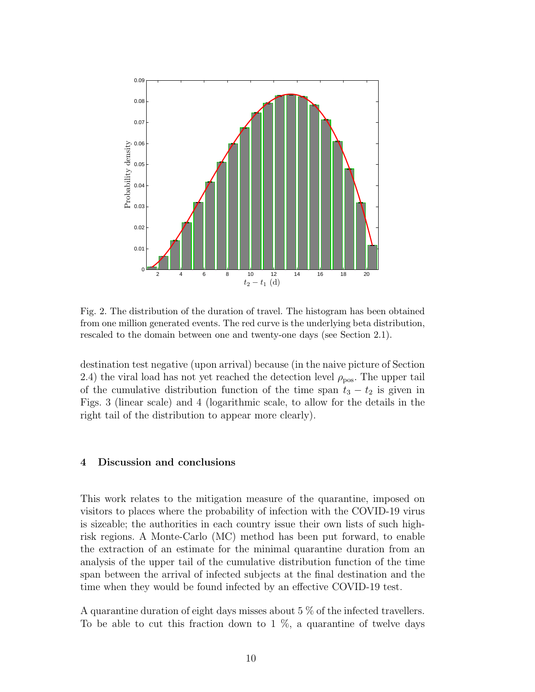

Fig. 2. The distribution of the duration of travel. The histogram has been obtained from one million generated events. The red curve is the underlying beta distribution, rescaled to the domain between one and twenty-one days (see Section 2.1).

destination test negative (upon arrival) because (in the naive picture of Section 2.4) the viral load has not yet reached the detection level  $\rho_{\text{pos}}$ . The upper tail of the cumulative distribution function of the time span  $t_3 - t_2$  is given in Figs. 3 (linear scale) and 4 (logarithmic scale, to allow for the details in the right tail of the distribution to appear more clearly).

#### 4 Discussion and conclusions

This work relates to the mitigation measure of the quarantine, imposed on visitors to places where the probability of infection with the COVID-19 virus is sizeable; the authorities in each country issue their own lists of such highrisk regions. A Monte-Carlo (MC) method has been put forward, to enable the extraction of an estimate for the minimal quarantine duration from an analysis of the upper tail of the cumulative distribution function of the time span between the arrival of infected subjects at the final destination and the time when they would be found infected by an effective COVID-19 test.

A quarantine duration of eight days misses about 5 % of the infected travellers. To be able to cut this fraction down to  $1\%$ , a quarantine of twelve days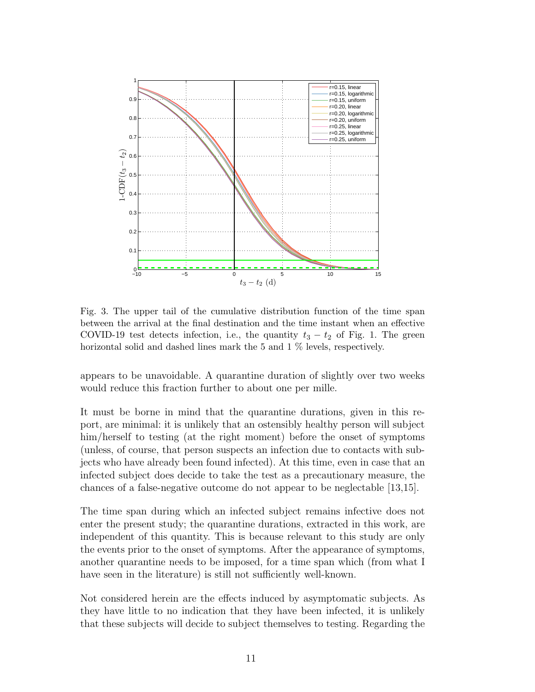

Fig. 3. The upper tail of the cumulative distribution function of the time span between the arrival at the final destination and the time instant when an effective COVID-19 test detects infection, i.e., the quantity  $t_3 - t_2$  of Fig. 1. The green horizontal solid and dashed lines mark the 5 and 1 % levels, respectively.

appears to be unavoidable. A quarantine duration of slightly over two weeks would reduce this fraction further to about one per mille.

It must be borne in mind that the quarantine durations, given in this report, are minimal: it is unlikely that an ostensibly healthy person will subject him/herself to testing (at the right moment) before the onset of symptoms (unless, of course, that person suspects an infection due to contacts with subjects who have already been found infected). At this time, even in case that an infected subject does decide to take the test as a precautionary measure, the chances of a false-negative outcome do not appear to be neglectable [13,15].

The time span during which an infected subject remains infective does not enter the present study; the quarantine durations, extracted in this work, are independent of this quantity. This is because relevant to this study are only the events prior to the onset of symptoms. After the appearance of symptoms, another quarantine needs to be imposed, for a time span which (from what I have seen in the literature) is still not sufficiently well-known.

Not considered herein are the effects induced by asymptomatic subjects. As they have little to no indication that they have been infected, it is unlikely that these subjects will decide to subject themselves to testing. Regarding the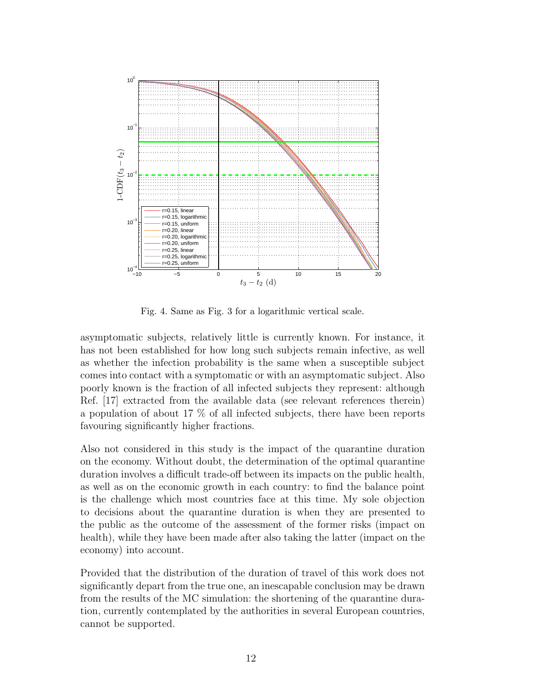

Fig. 4. Same as Fig. 3 for a logarithmic vertical scale.

asymptomatic subjects, relatively little is currently known. For instance, it has not been established for how long such subjects remain infective, as well as whether the infection probability is the same when a susceptible subject comes into contact with a symptomatic or with an asymptomatic subject. Also poorly known is the fraction of all infected subjects they represent: although Ref. [17] extracted from the available data (see relevant references therein) a population of about 17 % of all infected subjects, there have been reports favouring significantly higher fractions.

Also not considered in this study is the impact of the quarantine duration on the economy. Without doubt, the determination of the optimal quarantine duration involves a difficult trade-off between its impacts on the public health, as well as on the economic growth in each country: to find the balance point is the challenge which most countries face at this time. My sole objection to decisions about the quarantine duration is when they are presented to the public as the outcome of the assessment of the former risks (impact on health), while they have been made after also taking the latter (impact on the economy) into account.

Provided that the distribution of the duration of travel of this work does not significantly depart from the true one, an inescapable conclusion may be drawn from the results of the MC simulation: the shortening of the quarantine duration, currently contemplated by the authorities in several European countries, cannot be supported.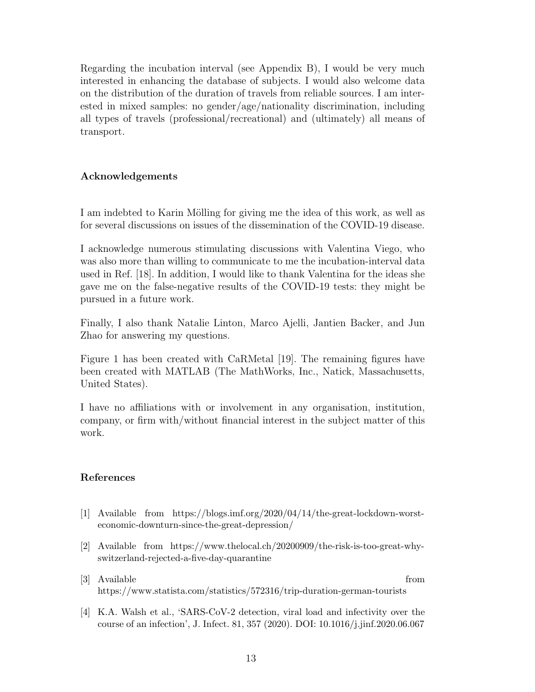Regarding the incubation interval (see Appendix B), I would be very much interested in enhancing the database of subjects. I would also welcome data on the distribution of the duration of travels from reliable sources. I am interested in mixed samples: no gender/age/nationality discrimination, including all types of travels (professional/recreational) and (ultimately) all means of transport.

# Acknowledgements

I am indebted to Karin Mölling for giving me the idea of this work, as well as for several discussions on issues of the dissemination of the COVID-19 disease.

I acknowledge numerous stimulating discussions with Valentina Viego, who was also more than willing to communicate to me the incubation-interval data used in Ref. [18]. In addition, I would like to thank Valentina for the ideas she gave me on the false-negative results of the COVID-19 tests: they might be pursued in a future work.

Finally, I also thank Natalie Linton, Marco Ajelli, Jantien Backer, and Jun Zhao for answering my questions.

Figure 1 has been created with CaRMetal [19]. The remaining figures have been created with MATLAB (The MathWorks, Inc., Natick, Massachusetts, United States).

I have no affiliations with or involvement in any organisation, institution, company, or firm with/without financial interest in the subject matter of this work.

## References

- [1] Available from https://blogs.imf.org/2020/04/14/the-great-lockdown-worsteconomic-downturn-since-the-great-depression/
- [2] Available from https://www.thelocal.ch/20200909/the-risk-is-too-great-whyswitzerland-rejected-a-five-day-quarantine
- [3] Available from https://www.statista.com/statistics/572316/trip-duration-german-tourists
- [4] K.A. Walsh et al., 'SARS-CoV-2 detection, viral load and infectivity over the course of an infection', J. Infect. 81, 357 (2020). DOI: 10.1016/j.jinf.2020.06.067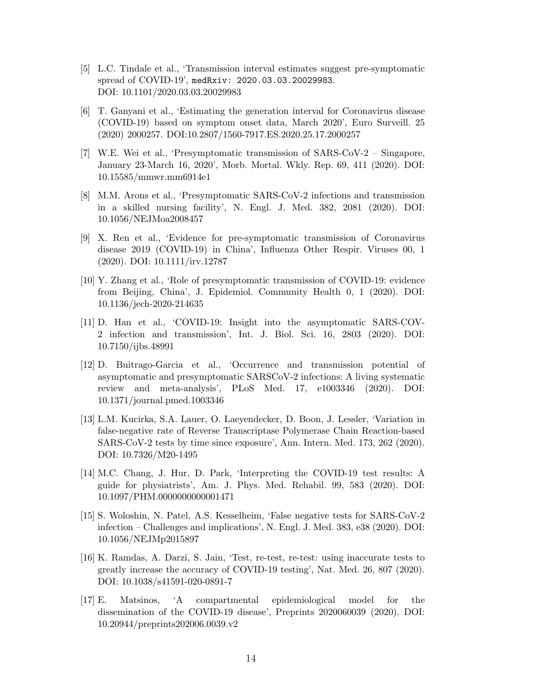- [5] L.C. Tindale et al., 'Transmission interval estimates suggest pre-symptomatic spread of COVID-19', medRxiv: 2020.03.03.20029983. DOI: 10.1101/2020.03.03.20029983
- [6] T. Ganyani et al., 'Estimating the generation interval for Coronavirus disease (COVID-19) based on symptom onset data, March 2020', Euro Surveill. 25 (2020) 2000257. DOI:10.2807/1560-7917.ES.2020.25.17.2000257
- [7] W.E. Wei et al., 'Presymptomatic transmission of SARS-CoV-2 Singapore, January 23-March 16, 2020', Morb. Mortal. Wkly. Rep. 69, 411 (2020). DOI: 10.15585/mmwr.mm6914e1
- [8] M.M. Arons et al., 'Presymptomatic SARS-CoV-2 infections and transmission in a skilled nursing facility', N. Engl. J. Med. 382, 2081 (2020). DOI: 10.1056/NEJMoa2008457
- [9] X. Ren et al., 'Evidence for pre-symptomatic transmission of Coronavirus disease 2019 (COVID-19) in China', Influenza Other Respir. Viruses 00, 1 (2020). DOI: 10.1111/irv.12787
- [10] Y. Zhang et al., 'Role of presymptomatic transmission of COVID-19: evidence from Beijing, China', J. Epidemiol. Community Health 0, 1 (2020). DOI: 10.1136/jech-2020-214635
- [11] D. Han et al., 'COVID-19: Insight into the asymptomatic SARS-COV-2 infection and transmission', Int. J. Biol. Sci. 16, 2803 (2020). DOI: 10.7150/ijbs.48991
- [12] D. Buitrago-Garcia et al., 'Occurrence and transmission potential of asymptomatic and presymptomatic SARSCoV-2 infections: A living systematic review and meta-analysis', PLoS Med. 17, e1003346 (2020). DOI: 10.1371/journal.pmed.1003346
- [13] L.M. Kucirka, S.A. Lauer, O. Laeyendecker, D. Boon, J. Lessler, 'Variation in false-negative rate of Reverse Transcriptase Polymerase Chain Reaction-based SARS-CoV-2 tests by time since exposure', Ann. Intern. Med. 173, 262 (2020). DOI: 10.7326/M20-1495
- [14] M.C. Chang, J. Hur, D. Park, 'Interpreting the COVID-19 test results: A guide for physiatrists', Am. J. Phys. Med. Rehabil. 99, 583 (2020). DOI: 10.1097/PHM.0000000000001471
- [15] S. Woloshin, N. Patel, A.S. Kesselheim, 'False negative tests for SARS-CoV-2 infection – Challenges and implications', N. Engl. J. Med. 383, e38 (2020). DOI: 10.1056/NEJMp2015897
- [16] K. Ramdas, A. Darzi, S. Jain, 'Test, re-test, re-test: using inaccurate tests to greatly increase the accuracy of COVID-19 testing', Nat. Med. 26, 807 (2020). DOI: 10.1038/s41591-020-0891-7
- [17] E. Matsinos, 'A compartmental epidemiological model for the dissemination of the COVID-19 disease', Preprints 2020060039 (2020). DOI: 10.20944/preprints202006.0039.v2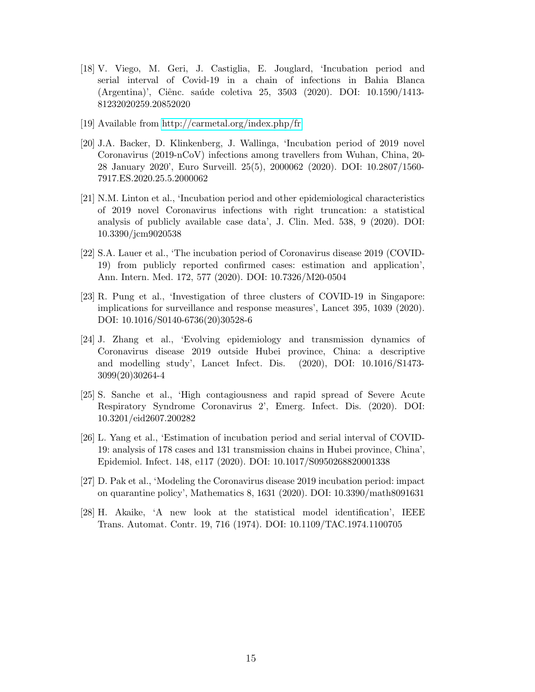- [18] V. Viego, M. Geri, J. Castiglia, E. Jouglard, 'Incubation period and serial interval of Covid-19 in a chain of infections in Bahia Blanca (Argentina)', Ciênc. saúde coletiva 25, 3503 (2020). DOI: 10.1590/1413-81232020259.20852020
- [19] Available from<http://carmetal.org/index.php/fr>
- [20] J.A. Backer, D. Klinkenberg, J. Wallinga, 'Incubation period of 2019 novel Coronavirus (2019-nCoV) infections among travellers from Wuhan, China, 20- 28 January 2020', Euro Surveill. 25(5), 2000062 (2020). DOI: 10.2807/1560- 7917.ES.2020.25.5.2000062
- [21] N.M. Linton et al., 'Incubation period and other epidemiological characteristics of 2019 novel Coronavirus infections with right truncation: a statistical analysis of publicly available case data', J. Clin. Med. 538, 9 (2020). DOI: 10.3390/jcm9020538
- [22] S.A. Lauer et al., 'The incubation period of Coronavirus disease 2019 (COVID-19) from publicly reported confirmed cases: estimation and application', Ann. Intern. Med. 172, 577 (2020). DOI: 10.7326/M20-0504
- [23] R. Pung et al., 'Investigation of three clusters of COVID-19 in Singapore: implications for surveillance and response measures', Lancet 395, 1039 (2020). DOI: 10.1016/S0140-6736(20)30528-6
- [24] J. Zhang et al., 'Evolving epidemiology and transmission dynamics of Coronavirus disease 2019 outside Hubei province, China: a descriptive and modelling study', Lancet Infect. Dis. (2020), DOI: 10.1016/S1473- 3099(20)30264-4
- [25] S. Sanche et al., 'High contagiousness and rapid spread of Severe Acute Respiratory Syndrome Coronavirus 2', Emerg. Infect. Dis. (2020). DOI: 10.3201/eid2607.200282
- [26] L. Yang et al., 'Estimation of incubation period and serial interval of COVID-19: analysis of 178 cases and 131 transmission chains in Hubei province, China', Epidemiol. Infect. 148, e117 (2020). DOI: 10.1017/S0950268820001338
- [27] D. Pak et al., 'Modeling the Coronavirus disease 2019 incubation period: impact on quarantine policy', Mathematics 8, 1631 (2020). DOI: 10.3390/math8091631
- [28] H. Akaike, 'A new look at the statistical model identification', IEEE Trans. Automat. Contr. 19, 716 (1974). DOI: 10.1109/TAC.1974.1100705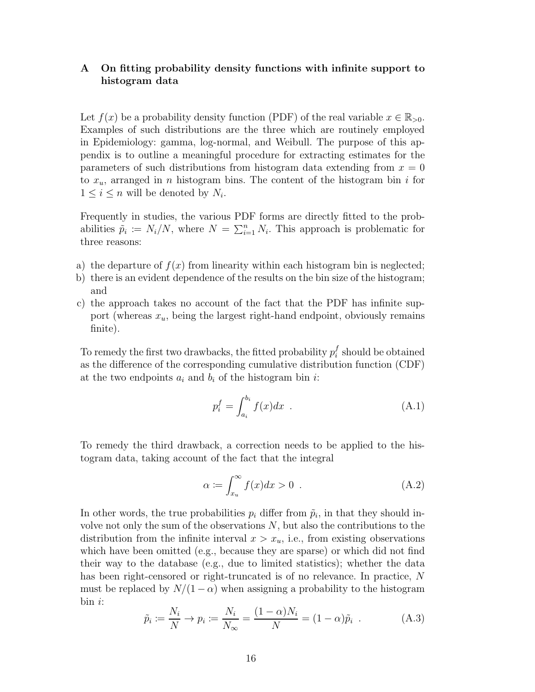## A On fitting probability density functions with infinite support to histogram data

Let  $f(x)$  be a probability density function (PDF) of the real variable  $x \in \mathbb{R}_{>0}$ . Examples of such distributions are the three which are routinely employed in Epidemiology: gamma, log-normal, and Weibull. The purpose of this appendix is to outline a meaningful procedure for extracting estimates for the parameters of such distributions from histogram data extending from  $x = 0$ to  $x_u$ , arranged in n histogram bins. The content of the histogram bin i for  $1 \leq i \leq n$  will be denoted by  $N_i$ .

Frequently in studies, the various PDF forms are directly fitted to the probabilities  $\tilde{p}_i := N_i/N$ , where  $N = \sum_{i=1}^n N_i$ . This approach is problematic for three reasons:

- a) the departure of  $f(x)$  from linearity within each histogram bin is neglected;
- b) there is an evident dependence of the results on the bin size of the histogram; and
- c) the approach takes no account of the fact that the PDF has infinite support (whereas  $x_u$ , being the largest right-hand endpoint, obviously remains finite).

To remedy the first two drawbacks, the fitted probability  $p_i^f$  $i$  should be obtained as the difference of the corresponding cumulative distribution function (CDF) at the two endpoints  $a_i$  and  $b_i$  of the histogram bin i:

$$
p_i^f = \int_{a_i}^{b_i} f(x)dx
$$
 (A.1)

To remedy the third drawback, a correction needs to be applied to the histogram data, taking account of the fact that the integral

$$
\alpha := \int_{x_u}^{\infty} f(x)dx > 0 . \tag{A.2}
$$

In other words, the true probabilities  $p_i$  differ from  $\tilde{p}_i$ , in that they should involve not only the sum of the observations  $N$ , but also the contributions to the distribution from the infinite interval  $x > x_u$ , i.e., from existing observations which have been omitted (e.g., because they are sparse) or which did not find their way to the database (e.g., due to limited statistics); whether the data has been right-censored or right-truncated is of no relevance. In practice, N must be replaced by  $N/(1-\alpha)$  when assigning a probability to the histogram  $bin i$ :

$$
\tilde{p}_i := \frac{N_i}{N} \to p_i := \frac{N_i}{N_\infty} = \frac{(1-\alpha)N_i}{N} = (1-\alpha)\tilde{p}_i
$$
 (A.3)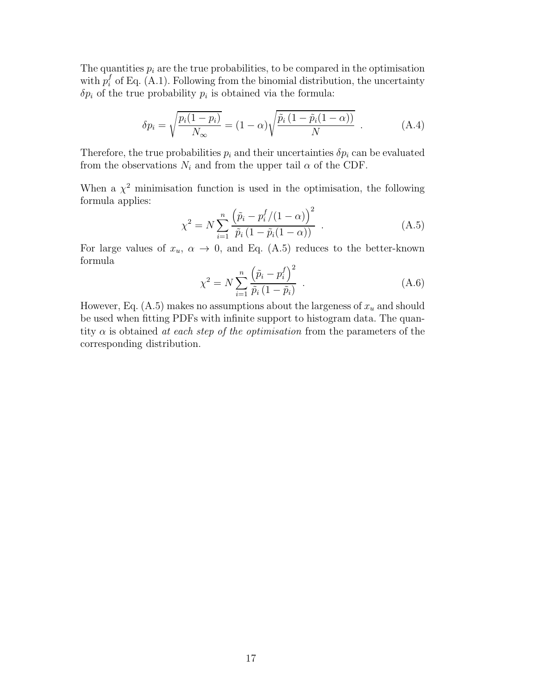The quantities  $p_i$  are the true probabilities, to be compared in the optimisation with  $p_i^f$  of Eq. (A.1). Following from the binomial distribution, the uncertainty  $\delta p_i$  of the true probability  $p_i$  is obtained via the formula:

$$
\delta p_i = \sqrt{\frac{p_i(1-p_i)}{N_\infty}} = (1-\alpha)\sqrt{\frac{\tilde{p}_i(1-\tilde{p}_i(1-\alpha))}{N}}.
$$
\n(A.4)

Therefore, the true probabilities  $p_i$  and their uncertainties  $\delta p_i$  can be evaluated from the observations  $N_i$  and from the upper tail  $\alpha$  of the CDF.

When a  $\chi^2$  minimisation function is used in the optimisation, the following formula applies:

$$
\chi^2 = N \sum_{i=1}^n \frac{\left(\tilde{p}_i - p_i^f / (1 - \alpha)\right)^2}{\tilde{p}_i \left(1 - \tilde{p}_i (1 - \alpha)\right)} . \tag{A.5}
$$

For large values of  $x_u$ ,  $\alpha \to 0$ , and Eq. (A.5) reduces to the better-known formula

$$
\chi^{2} = N \sum_{i=1}^{n} \frac{(\tilde{p}_{i} - p_{i}^{f})^{2}}{\tilde{p}_{i} (1 - \tilde{p}_{i})} .
$$
 (A.6)

However, Eq.  $(A.5)$  makes no assumptions about the largeness of  $x<sub>u</sub>$  and should be used when fitting PDFs with infinite support to histogram data. The quantity  $\alpha$  is obtained at each step of the optimisation from the parameters of the corresponding distribution.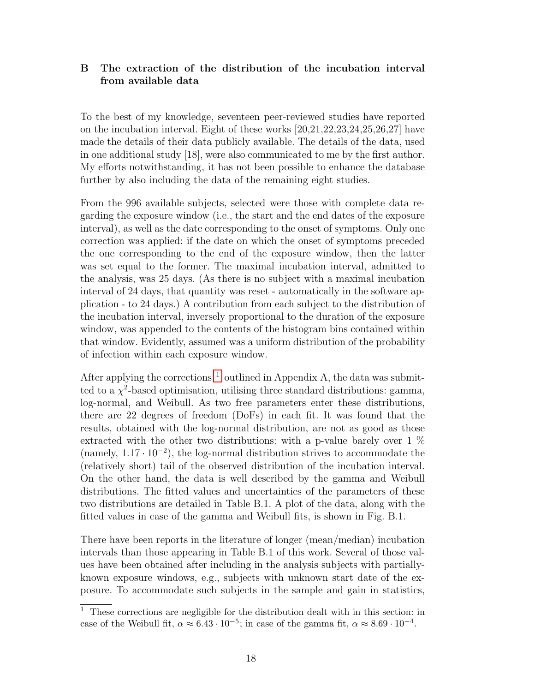# B The extraction of the distribution of the incubation interval from available data

To the best of my knowledge, seventeen peer-reviewed studies have reported on the incubation interval. Eight of these works [20,21,22,23,24,25,26,27] have made the details of their data publicly available. The details of the data, used in one additional study [18], were also communicated to me by the first author. My efforts notwithstanding, it has not been possible to enhance the database further by also including the data of the remaining eight studies.

From the 996 available subjects, selected were those with complete data regarding the exposure window (i.e., the start and the end dates of the exposure interval), as well as the date corresponding to the onset of symptoms. Only one correction was applied: if the date on which the onset of symptoms preceded the one corresponding to the end of the exposure window, then the latter was set equal to the former. The maximal incubation interval, admitted to the analysis, was 25 days. (As there is no subject with a maximal incubation interval of 24 days, that quantity was reset - automatically in the software application - to 24 days.) A contribution from each subject to the distribution of the incubation interval, inversely proportional to the duration of the exposure window, was appended to the contents of the histogram bins contained within that window. Evidently, assumed was a uniform distribution of the probability of infection within each exposure window.

After applying the corrections  $<sup>1</sup>$  $<sup>1</sup>$  $<sup>1</sup>$  outlined in Appendix A, the data was submit-</sup> ted to a  $\chi^2$ -based optimisation, utilising three standard distributions: gamma, log-normal, and Weibull. As two free parameters enter these distributions, there are 22 degrees of freedom (DoFs) in each fit. It was found that the results, obtained with the log-normal distribution, are not as good as those extracted with the other two distributions: with a p-value barely over 1 % (namely, 1.17 · 10<sup>−</sup><sup>2</sup> ), the log-normal distribution strives to accommodate the (relatively short) tail of the observed distribution of the incubation interval. On the other hand, the data is well described by the gamma and Weibull distributions. The fitted values and uncertainties of the parameters of these two distributions are detailed in Table B.1. A plot of the data, along with the fitted values in case of the gamma and Weibull fits, is shown in Fig. B.1.

There have been reports in the literature of longer (mean/median) incubation intervals than those appearing in Table B.1 of this work. Several of those values have been obtained after including in the analysis subjects with partiallyknown exposure windows, e.g., subjects with unknown start date of the exposure. To accommodate such subjects in the sample and gain in statistics,

<span id="page-17-0"></span> $\overline{1}$  These corrections are negligible for the distribution dealt with in this section: in case of the Weibull fit,  $\alpha \approx 6.43 \cdot 10^{-5}$ ; in case of the gamma fit,  $\alpha \approx 8.69 \cdot 10^{-4}$ .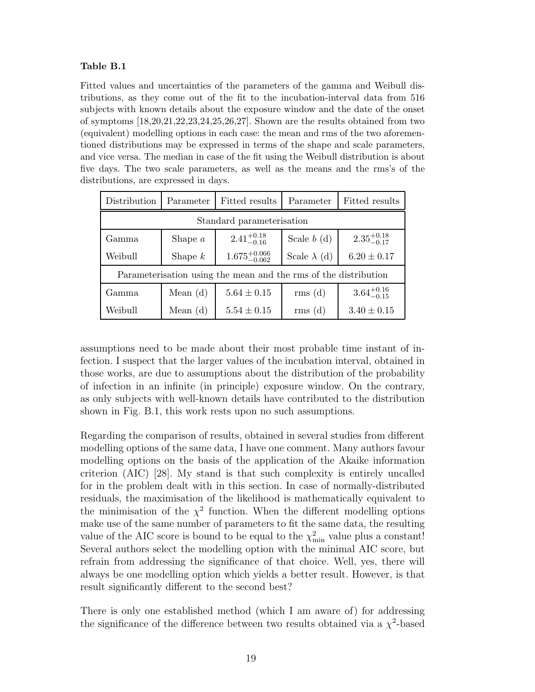### Table B.1

Fitted values and uncertainties of the parameters of the gamma and Weibull distributions, as they come out of the fit to the incubation-interval data from 516 subjects with known details about the exposure window and the date of the onset of symptoms  $[18,20,21,22,23,24,25,26,27]$ . Shown are the results obtained from two (equivalent) modelling options in each case: the mean and rms of the two aforementioned distributions may be expressed in terms of the shape and scale parameters, and vice versa. The median in case of the fit using the Weibull distribution is about five days. The two scale parameters, as well as the means and the rms's of the distributions, are expressed in days.

| Distribution                                                    | Parameter  | Fitted results            | Parameter           | Fitted results         |
|-----------------------------------------------------------------|------------|---------------------------|---------------------|------------------------|
| Standard parameterisation                                       |            |                           |                     |                        |
| Gamma                                                           | Shape $a$  | $2.41^{+0.18}_{-0.16}$    | Scale $b(d)$        | $2.35_{-0.17}^{+0.18}$ |
| Weibull                                                         | Shape $k$  | $1.675^{+0.066}_{-0.062}$ | Scale $\lambda$ (d) | $6.20 \pm 0.17$        |
| Parameterisation using the mean and the rms of the distribution |            |                           |                     |                        |
| Gamma                                                           | Mean $(d)$ | $5.64 \pm 0.15$           | rms(d)              | $3.64^{+0.16}_{-0.15}$ |
| Weibull                                                         | Mean $(d)$ | $5.54 \pm 0.15$           | rms(d)              | $3.40 \pm 0.15$        |

assumptions need to be made about their most probable time instant of infection. I suspect that the larger values of the incubation interval, obtained in those works, are due to assumptions about the distribution of the probability of infection in an infinite (in principle) exposure window. On the contrary, as only subjects with well-known details have contributed to the distribution shown in Fig. B.1, this work rests upon no such assumptions.

Regarding the comparison of results, obtained in several studies from different modelling options of the same data, I have one comment. Many authors favour modelling options on the basis of the application of the Akaike information criterion (AIC) [28]. My stand is that such complexity is entirely uncalled for in the problem dealt with in this section. In case of normally-distributed residuals, the maximisation of the likelihood is mathematically equivalent to the minimisation of the  $\chi^2$  function. When the different modelling options make use of the same number of parameters to fit the same data, the resulting value of the AIC score is bound to be equal to the  $\chi^2_{\rm min}$  value plus a constant! Several authors select the modelling option with the minimal AIC score, but refrain from addressing the significance of that choice. Well, yes, there will always be one modelling option which yields a better result. However, is that result significantly different to the second best?

There is only one established method (which I am aware of) for addressing the significance of the difference between two results obtained via a  $\chi^2$ -based